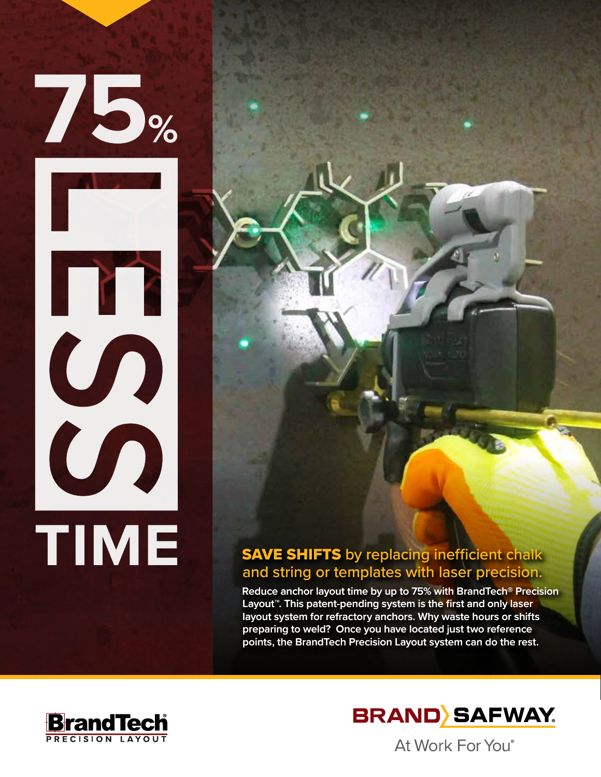

## **SAVE SHIFTS** by replacing inefficient chalk and string or templates with laser precision.

**Reduce anchor layout time by up to 75% with BrandTech® Precision Layout™. This patent-pending system is the first and only laser layout system for refractory anchors. Why waste hours or shifts preparing to weld? Once you have located just two reference points, the BrandTech Precision Layout system can do the rest.** 





At Work For You®